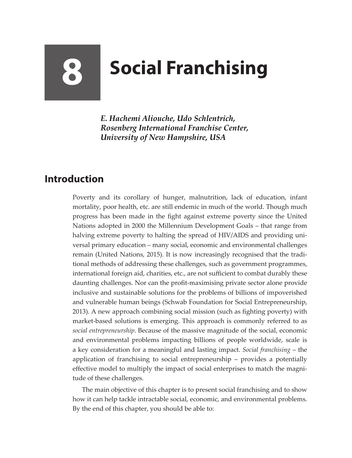## **8 Social Franchising**

*E. Hachemi Aliouche, Udo Schlentrich, Rosenberg International Franchise Center, University of New Hampshire, USA*

## **Introduction**

Poverty and its corollary of hunger, malnutrition, lack of education, infant mortality, poor health, etc. are still endemic in much of the world. Though much progress has been made in the fight against extreme poverty since the United Nations adopted in 2000 the Millennium Development Goals – that range from halving extreme poverty to halting the spread of HIV/AIDS and providing universal primary education – many social, economic and environmental challenges remain (United Nations, 2015). It is now increasingly recognised that the traditional methods of addressing these challenges, such as government programmes, international foreign aid, charities, etc., are not sufficient to combat durably these daunting challenges. Nor can the profit-maximising private sector alone provide inclusive and sustainable solutions for the problems of billions of impoverished and vulnerable human beings (Schwab Foundation for Social Entrepreneurship, 2013). A new approach combining social mission (such as fighting poverty) with market-based solutions is emerging. This approach is commonly referred to as *social entrepreneurship*. Because of the massive magnitude of the social, economic and environmental problems impacting billions of people worldwide, scale is a key consideration for a meaningful and lasting impact. *Social franchising* – the application of franchising to social entrepreneurship – provides a potentially effective model to multiply the impact of social enterprises to match the magnitude of these challenges.

The main objective of this chapter is to present social franchising and to show how it can help tackle intractable social, economic, and environmental problems. By the end of this chapter, you should be able to: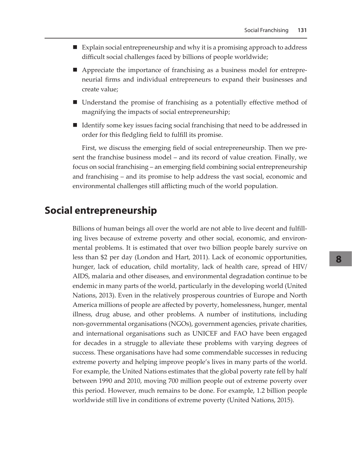- Explain social entrepreneurship and why it is a promising approach to address difficult social challenges faced by billions of people worldwide;
- Appreciate the importance of franchising as a business model for entrepreneurial firms and individual entrepreneurs to expand their businesses and create value;
- Understand the promise of franchising as a potentially effective method of magnifying the impacts of social entrepreneurship;
- Identify some key issues facing social franchising that need to be addressed in order for this fledgling field to fulfill its promise.

First, we discuss the emerging field of social entrepreneurship. Then we present the franchise business model – and its record of value creation*.* Finally, we focus on social franchising – an emerging field combining social entrepreneurship and franchising – and its promise to help address the vast social, economic and environmental challenges still afflicting much of the world population.

## **Social entrepreneurship**

Billions of human beings all over the world are not able to live decent and fulfilling lives because of extreme poverty and other social, economic, and environmental problems. It is estimated that over two billion people barely survive on less than \$2 per day (London and Hart, 2011). Lack of economic opportunities, hunger, lack of education, child mortality, lack of health care, spread of HIV/ AIDS, malaria and other diseases, and environmental degradation continue to be endemic in many parts of the world, particularly in the developing world (United Nations, 2013). Even in the relatively prosperous countries of Europe and North America millions of people are affected by poverty, homelessness, hunger, mental illness, drug abuse, and other problems. A number of institutions, including non-governmental organisations (NGOs), government agencies, private charities, and international organisations such as UNICEF and FAO have been engaged for decades in a struggle to alleviate these problems with varying degrees of success. These organisations have had some commendable successes in reducing extreme poverty and helping improve people's lives in many parts of the world. For example, the United Nations estimates that the global poverty rate fell by half between 1990 and 2010, moving 700 million people out of extreme poverty over this period. However, much remains to be done. For example, 1.2 billion people worldwide still live in conditions of extreme poverty (United Nations, 2015).